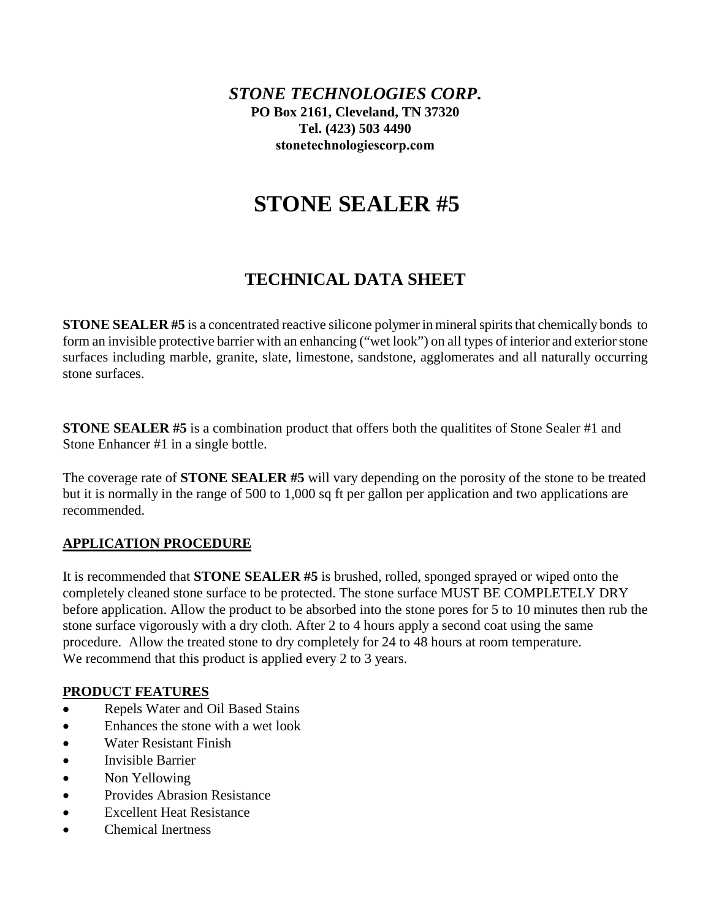*STONE TECHNOLOGIES CORP***. PO Box 2161, Cleveland, TN 37320 Tel. (423) 503 4490 [stonetechnologiescorp.com](http://www.stonetechnologiesinc.com/)**

# **STONE SEALER #5**

# **TECHNICAL DATA SHEET**

**STONE SEALER #5** is a concentrated reactive silicone polymer in mineral spirits that chemically bonds to form an invisible protective barrier with an enhancing ("wet look") on all types of interior and exterior stone surfaces including marble, granite, slate, limestone, sandstone, agglomerates and all naturally occurring stone surfaces.

**STONE SEALER #5** is a combination product that offers both the qualitites of Stone Sealer #1 and Stone Enhancer #1 in a single bottle.

The coverage rate of **STONE SEALER #5** will vary depending on the porosity of the stone to be treated but it is normally in the range of 500 to 1,000 sq ft per gallon per application and two applications are recommended.

# **APPLICATION PROCEDURE**

It is recommended that **STONE SEALER #5** is brushed, rolled, sponged sprayed or wiped onto the completely cleaned stone surface to be protected. The stone surface MUST BE COMPLETELY DRY before application. Allow the product to be absorbed into the stone pores for 5 to 10 minutes then rub the stone surface vigorously with a dry cloth. After 2 to 4 hours apply a second coat using the same procedure. Allow the treated stone to dry completely for 24 to 48 hours at room temperature. We recommend that this product is applied every 2 to 3 years.

# **PRODUCT FEATURES**

- Repels Water and Oil Based Stains
- Enhances the stone with a wet look
- Water Resistant Finish
- Invisible Barrier
- Non Yellowing
- Provides Abrasion Resistance
- Excellent Heat Resistance
- Chemical Inertness